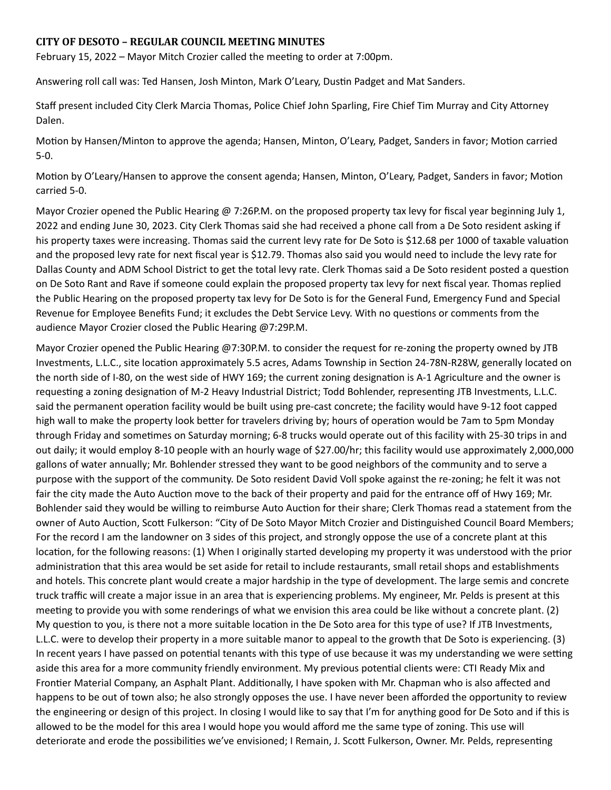## **CITY OF DESOTO – REGULAR COUNCIL MEETING MINUTES**

February 15, 2022 – Mayor Mitch Crozier called the meeting to order at 7:00pm.

Answering roll call was: Ted Hansen, Josh Minton, Mark O'Leary, Dustin Padget and Mat Sanders.

Staff present included City Clerk Marcia Thomas, Police Chief John Sparling, Fire Chief Tim Murray and City Attorney Dalen.

Motion by Hansen/Minton to approve the agenda; Hansen, Minton, O'Leary, Padget, Sanders in favor; Motion carried 5-0.

Motion by O'Leary/Hansen to approve the consent agenda; Hansen, Minton, O'Leary, Padget, Sanders in favor; Motion carried 5-0.

Mayor Crozier opened the Public Hearing @ 7:26P.M. on the proposed property tax levy for fiscal year beginning July 1, 2022 and ending June 30, 2023. City Clerk Thomas said she had received a phone call from a De Soto resident asking if his property taxes were increasing. Thomas said the current levy rate for De Soto is \$12.68 per 1000 of taxable valuation and the proposed levy rate for next fiscal year is \$12.79. Thomas also said you would need to include the levy rate for Dallas County and ADM School District to get the total levy rate. Clerk Thomas said a De Soto resident posted a question on De Soto Rant and Rave if someone could explain the proposed property tax levy for next fiscal year. Thomas replied the Public Hearing on the proposed property tax levy for De Soto is for the General Fund, Emergency Fund and Special Revenue for Employee Benefits Fund; it excludes the Debt Service Levy. With no questions or comments from the audience Mayor Crozier closed the Public Hearing @7:29P.M.

Mayor Crozier opened the Public Hearing @7:30P.M. to consider the request for re-zoning the property owned by JTB Investments, L.L.C., site location approximately 5.5 acres, Adams Township in Section 24-78N-R28W, generally located on the north side of I-80, on the west side of HWY 169; the current zoning designation is A-1 Agriculture and the owner is requesting a zoning designation of M-2 Heavy Industrial District; Todd Bohlender, representing JTB Investments, L.L.C. said the permanent operation facility would be built using pre-cast concrete; the facility would have 9-12 foot capped high wall to make the property look better for travelers driving by; hours of operation would be 7am to 5pm Monday through Friday and sometimes on Saturday morning; 6-8 trucks would operate out of this facility with 25-30 trips in and out daily; it would employ 8-10 people with an hourly wage of \$27.00/hr; this facility would use approximately 2,000,000 gallons of water annually; Mr. Bohlender stressed they want to be good neighbors of the community and to serve a purpose with the support of the community. De Soto resident David Voll spoke against the re-zoning; he felt it was not fair the city made the Auto Auction move to the back of their property and paid for the entrance off of Hwy 169; Mr. Bohlender said they would be willing to reimburse Auto Auction for their share; Clerk Thomas read a statement from the owner of Auto Auction, Scott Fulkerson: "City of De Soto Mayor Mitch Crozier and Distinguished Council Board Members; For the record I am the landowner on 3 sides of this project, and strongly oppose the use of a concrete plant at this location, for the following reasons: (1) When I originally started developing my property it was understood with the prior administration that this area would be set aside for retail to include restaurants, small retail shops and establishments and hotels. This concrete plant would create a major hardship in the type of development. The large semis and concrete truck traffic will create a major issue in an area that is experiencing problems. My engineer, Mr. Pelds is present at this meeting to provide you with some renderings of what we envision this area could be like without a concrete plant. (2) My question to you, is there not a more suitable location in the De Soto area for this type of use? If JTB Investments, L.L.C. were to develop their property in a more suitable manor to appeal to the growth that De Soto is experiencing. (3) In recent years I have passed on potential tenants with this type of use because it was my understanding we were setting aside this area for a more community friendly environment. My previous potential clients were: CTI Ready Mix and Frontier Material Company, an Asphalt Plant. Additionally, I have spoken with Mr. Chapman who is also affected and happens to be out of town also; he also strongly opposes the use. I have never been afforded the opportunity to review the engineering or design of this project. In closing I would like to say that I'm for anything good for De Soto and if this is allowed to be the model for this area I would hope you would afford me the same type of zoning. This use will deteriorate and erode the possibilities we've envisioned; I Remain, J. Scott Fulkerson, Owner. Mr. Pelds, representing